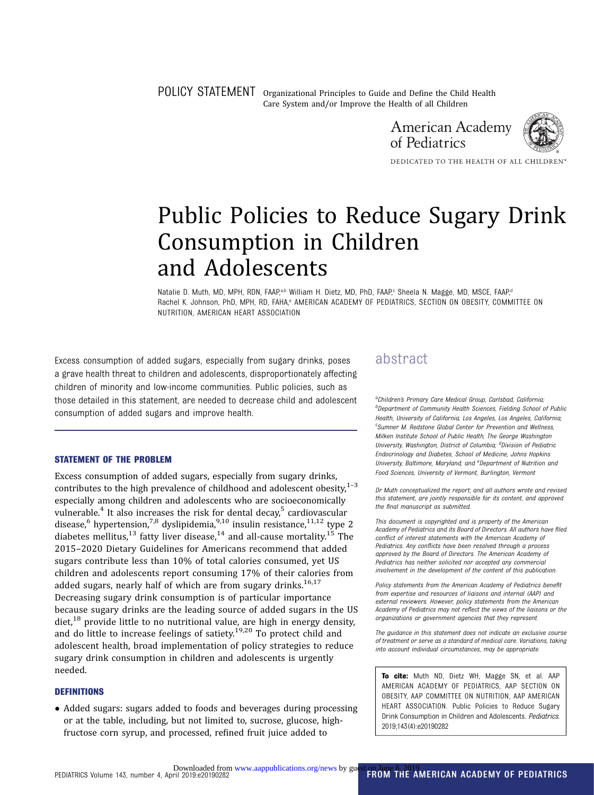POLICY STATEMENT Organizational Principles to Guide and Define the Child Health Care System and/or Improve the Health of all Children





DEDICATED TO THE HEALTH OF ALL CHILDREN'

## Public Policies to Reduce Sugary Drink Consumption in Children and Adolescents

Natalie D. Muth, MD, MPH, RDN, FAAP,<sup>a,b</sup> William H. Dietz, MD, PhD, FAAP,<sup>c</sup> Sheela N. Magge, MD, MSCE, FAAP,<sup>d</sup> Rachel K. Johnson, PhD, MPH, RD, FAHA,<sup>e</sup> AMERICAN ACADEMY OF PEDIATRICS, SECTION ON OBESITY, COMMITTEE ON NUTRITION, AMERICAN HEART ASSOCIATION

Excess consumption of added sugars, especially from sugary drinks, poses  $a\bar{b}$ stract a grave health threat to children and adolescents, disproportionately affecting children of minority and low-income communities. Public policies, such as those detailed in this statement, are needed to decrease child and adolescent consumption of added sugars and improve health.

#### STATEMENT OF THE PROBLEM

Excess consumption of added sugars, especially from sugary drinks, contributes to the high prevalence of childhood and adolescent obesity,  $1-3$  $1-3$  $1-3$ especially among children and adolescents who are socioeconomically vulnerable.<sup>[4](#page-8-0)</sup> It also increases the risk for dental decay,<sup>[5](#page-8-0)</sup> cardiovascular disease,<sup>[6](#page-8-0)</sup> hypertension,<sup>[7,8](#page-8-0)</sup> dyslipidemia,<sup>[9,10](#page-8-0)</sup> insulin resistance,<sup>[11,12](#page-8-0)</sup> type 2 diabetes mellitus,<sup>[13](#page-8-0)</sup> fatty liver disease,<sup>[14](#page-8-0)</sup> and all-cause mortality.<sup>[15](#page-8-0)</sup> The 2015–2020 Dietary Guidelines for Americans recommend that added sugars contribute less than 10% of total calories consumed, yet US children and adolescents report consuming 17% of their calories from added sugars, nearly half of which are from sugary drinks. $16,17$ Decreasing sugary drink consumption is of particular importance because sugary drinks are the leading source of added sugars in the US diet,<sup>[18](#page-8-0)</sup> provide little to no nutritional value, are high in energy density, and do little to increase feelings of satiety.<sup>[19](#page-8-0),[20](#page-8-0)</sup> To protect child and adolescent health, broad implementation of policy strategies to reduce sugary drink consumption in children and adolescents is urgently needed.

#### **DEFINITIONS**

• Added sugars: sugars added to foods and beverages during processing or at the table, including, but not limited to, sucrose, glucose, highfructose corn syrup, and processed, refined fruit juice added to

<sup>a</sup>Children's Primary Care Medical Group, Carlsbad, California, **b** Department of Community Health Sciences, Fielding School of Public Health, University of California, Los Angeles, Los Angeles, California; <sup>c</sup>Sumner M. Redstone Global Center for Prevention and Wellness, Milken Institute School of Public Health, The George Washington University, Washington, District of Columbia; <sup>d</sup>Division of Pediatric Endocrinology and Diabetes, School of Medicine, Johns Hopkins University, Baltimore, Maryland; and <sup>e</sup>Department of Nutrition and Food Sciences, University of Vermont, Burlington, Vermont

Dr Muth conceptualized the report; and all authors wrote and revised this statement, are jointly responsible for its content, and approved the final manuscript as submitted.

This document is copyrighted and is property of the American Academy of Pediatrics and its Board of Directors. All authors have filed conflict of interest statements with the American Academy of Pediatrics. Any conflicts have been resolved through a process approved by the Board of Directors. The American Academy of Pediatrics has neither solicited nor accepted any commercial involvement in the development of the content of this publication.

Policy statements from the American Academy of Pediatrics benefit from expertise and resources of liaisons and internal (AAP) and external reviewers. However, policy statements from the American Academy of Pediatrics may not reflect the views of the liaisons or the organizations or government agencies that they represent.

The guidance in this statement does not indicate an exclusive course of treatment or serve as a standard of medical care. Variations, taking into account individual circumstances, may be appropriate.

To cite: Muth ND, Dietz WH, Magge SN, et al. AAP AMERICAN ACADEMY OF PEDIATRICS, AAP SECTION ON OBESITY, AAP COMMITTEE ON NUTRITION, AAP AMERICAN HEART ASSOCIATION. Public Policies to Reduce Sugary Drink Consumption in Children and Adolescents. Pediatrics. 2019;143(4):e20190282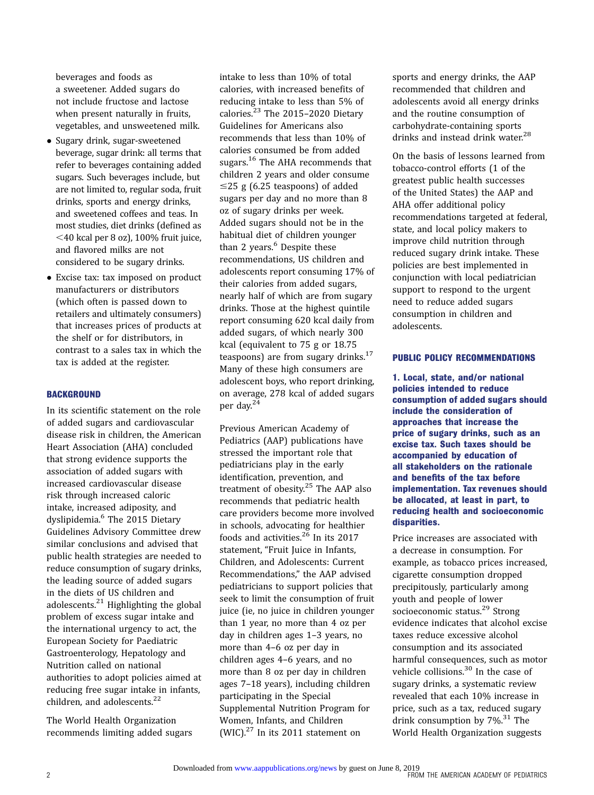beverages and foods as a sweetener. Added sugars do not include fructose and lactose when present naturally in fruits, vegetables, and unsweetened milk.

- Sugary drink, sugar-sweetened beverage, sugar drink: all terms that refer to beverages containing added sugars. Such beverages include, but are not limited to, regular soda, fruit drinks, sports and energy drinks, and sweetened coffees and teas. In most studies, diet drinks (defined as  $<$ 40 kcal per 8 oz), 100% fruit juice, and flavored milks are not considered to be sugary drinks.
- Excise tax: tax imposed on product manufacturers or distributors (which often is passed down to retailers and ultimately consumers) that increases prices of products at the shelf or for distributors, in contrast to a sales tax in which the tax is added at the register.

#### **BACKGROUND**

In its scientific statement on the role of added sugars and cardiovascular disease risk in children, the American Heart Association (AHA) concluded that strong evidence supports the association of added sugars with increased cardiovascular disease risk through increased caloric intake, increased adiposity, and dyslipidemia.<sup>[6](#page-8-0)</sup> The 2015 Dietary Guidelines Advisory Committee drew similar conclusions and advised that public health strategies are needed to reduce consumption of sugary drinks, the leading source of added sugars in the diets of US children and adolescents. $^{21}$  $^{21}$  $^{21}$  Highlighting the global problem of excess sugar intake and the international urgency to act, the European Society for Paediatric Gastroenterology, Hepatology and Nutrition called on national authorities to adopt policies aimed at reducing free sugar intake in infants, children, and adolescents.<sup>[22](#page-8-0)</sup>

The World Health Organization recommends limiting added sugars intake to less than 10% of total calories, with increased benefits of reducing intake to less than 5% of calories. $23$  The 2015–2020 Dietary Guidelines for Americans also recommends that less than 10% of calories consumed be from added sugars.<sup>16</sup> The AHA recommends that children 2 years and older consume  $\leq$ 25 g (6.25 teaspoons) of added sugars per day and no more than 8 oz of sugary drinks per week. Added sugars should not be in the habitual diet of children younger than 2 years. $<sup>6</sup>$  $<sup>6</sup>$  $<sup>6</sup>$  Despite these</sup> recommendations, US children and adolescents report consuming 17% of their calories from added sugars, nearly half of which are from sugary drinks. Those at the highest quintile report consuming 620 kcal daily from added sugars, of which nearly 300 kcal (equivalent to 75 g or 18.75 teaspoons) are from sugary drinks.<sup>[17](#page-8-0)</sup> Many of these high consumers are adolescent boys, who report drinking, on average, 278 kcal of added sugars per day.[24](#page-8-0)

Previous American Academy of Pediatrics (AAP) publications have stressed the important role that pediatricians play in the early identification, prevention, and treatment of obesity.<sup>[25](#page-9-0)</sup> The AAP also recommends that pediatric health care providers become more involved in schools, advocating for healthier foods and activities.<sup>[26](#page-9-0)</sup> In its 2017 statement, "Fruit Juice in Infants, Children, and Adolescents: Current Recommendations," the AAP advised pediatricians to support policies that seek to limit the consumption of fruit juice (ie, no juice in children younger than 1 year, no more than 4 oz per day in children ages 1–3 years, no more than 4–6 oz per day in children ages 4–6 years, and no more than 8 oz per day in children ages 7–18 years), including children participating in the Special Supplemental Nutrition Program for Women, Infants, and Children (WIC). $27$  In its 2011 statement on

sports and energy drinks, the AAP recommended that children and adolescents avoid all energy drinks and the routine consumption of carbohydrate-containing sports drinks and instead drink water.<sup>[28](#page-9-0)</sup>

On the basis of lessons learned from tobacco-control efforts (1 of the greatest public health successes of the United States) the AAP and AHA offer additional policy recommendations targeted at federal, state, and local policy makers to improve child nutrition through reduced sugary drink intake. These policies are best implemented in conjunction with local pediatrician support to respond to the urgent need to reduce added sugars consumption in children and adolescents.

#### PUBLIC POLICY RECOMMENDATIONS

1. Local, state, and/or national policies intended to reduce consumption of added sugars should include the consideration of approaches that increase the price of sugary drinks, such as an excise tax. Such taxes should be accompanied by education of all stakeholders on the rationale and benefits of the tax before implementation. Tax revenues should be allocated, at least in part, to reducing health and socioeconomic disparities.

Price increases are associated with a decrease in consumption. For example, as tobacco prices increased, cigarette consumption dropped precipitously, particularly among youth and people of lower socioeconomic status.<sup>[29](#page-9-0)</sup> Strong evidence indicates that alcohol excise taxes reduce excessive alcohol consumption and its associated harmful consequences, such as motor vehicle collisions.<sup>[30](#page-9-0)</sup> In the case of sugary drinks, a systematic review revealed that each 10% increase in price, such as a tax, reduced sugary drink consumption by 7%.<sup>[31](#page-9-0)</sup> The World Health Organization suggests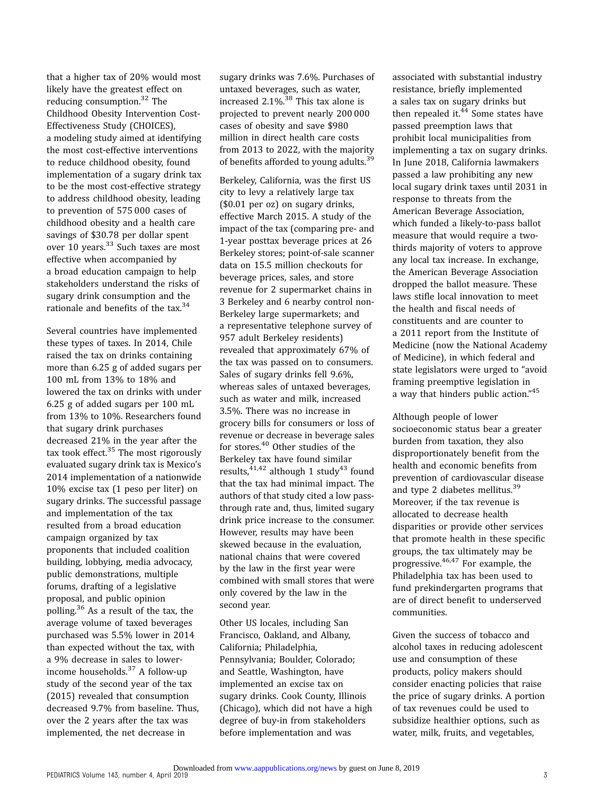that a higher tax of 20% would most likely have the greatest effect on reducing consumption.<sup>[32](#page-9-0)</sup> The Childhood Obesity Intervention Cost-Effectiveness Study (CHOICES), a modeling study aimed at identifying the most cost-effective interventions to reduce childhood obesity, found implementation of a sugary drink tax to be the most cost-effective strategy to address childhood obesity, leading to prevention of 575 000 cases of childhood obesity and a health care savings of \$30.78 per dollar spent over 10 years.<sup>33</sup> Such taxes are most effective when accompanied by a broad education campaign to help stakeholders understand the risks of sugary drink consumption and the rationale and benefits of the tax.[34](#page-9-0)

Several countries have implemented these types of taxes. In 2014, Chile raised the tax on drinks containing more than 6.25 g of added sugars per 100 mL from 13% to 18% and lowered the tax on drinks with under 6.25 g of added sugars per 100 mL from 13% to 10%. Researchers found that sugary drink purchases decreased 21% in the year after the tax took effect. $35$  The most rigorously evaluated sugary drink tax is Mexico's 2014 implementation of a nationwide 10% excise tax (1 peso per liter) on sugary drinks. The successful passage and implementation of the tax resulted from a broad education campaign organized by tax proponents that included coalition building, lobbying, media advocacy, public demonstrations, multiple forums, drafting of a legislative proposal, and public opinion polling.[36](#page-9-0) As a result of the tax, the average volume of taxed beverages purchased was 5.5% lower in 2014 than expected without the tax, with a 9% decrease in sales to lowerincome households.[37](#page-9-0) A follow-up study of the second year of the tax (2015) revealed that consumption decreased 9.7% from baseline. Thus, over the 2 years after the tax was implemented, the net decrease in

sugary drinks was 7.6%. Purchases of untaxed beverages, such as water, increased 2.1%. $38$  This tax alone is projected to prevent nearly 200 000 cases of obesity and save \$980 million in direct health care costs from 2013 to 2022, with the majority of benefits afforded to young adults.<sup>[39](#page-9-0)</sup>

Berkeley, California, was the first US city to levy a relatively large tax (\$0.01 per oz) on sugary drinks, effective March 2015. A study of the impact of the tax (comparing pre- and 1-year posttax beverage prices at 26 Berkeley stores; point-of-sale scanner data on 15.5 million checkouts for beverage prices, sales, and store revenue for 2 supermarket chains in 3 Berkeley and 6 nearby control non-Berkeley large supermarkets; and a representative telephone survey of 957 adult Berkeley residents) revealed that approximately 67% of the tax was passed on to consumers. Sales of sugary drinks fell 9.6%, whereas sales of untaxed beverages, such as water and milk, increased 3.5%. There was no increase in grocery bills for consumers or loss of revenue or decrease in beverage sales for stores.[40](#page-9-0) Other studies of the Berkeley tax have found similar results, $41,42$  $41,42$  $41,42$  although 1 study $43$  found that the tax had minimal impact. The authors of that study cited a low passthrough rate and, thus, limited sugary drink price increase to the consumer. However, results may have been skewed because in the evaluation, national chains that were covered by the law in the first year were combined with small stores that were only covered by the law in the second year.

Other US locales, including San Francisco, Oakland, and Albany, California; Philadelphia, Pennsylvania; Boulder, Colorado; and Seattle, Washington, have implemented an excise tax on sugary drinks. Cook County, Illinois (Chicago), which did not have a high degree of buy-in from stakeholders before implementation and was

associated with substantial industry resistance, briefly implemented a sales tax on sugary drinks but then repealed it. $44$  Some states have passed preemption laws that prohibit local municipalities from implementing a tax on sugary drinks. In June 2018, California lawmakers passed a law prohibiting any new local sugary drink taxes until 2031 in response to threats from the American Beverage Association, which funded a likely-to-pass ballot measure that would require a twothirds majority of voters to approve any local tax increase. In exchange, the American Beverage Association dropped the ballot measure. These laws stifle local innovation to meet the health and fiscal needs of constituents and are counter to a 2011 report from the Institute of Medicine (now the National Academy of Medicine), in which federal and state legislators were urged to "avoid framing preemptive legislation in a way that hinders public action."<sup>[45](#page-9-0)</sup>

Although people of lower socioeconomic status bear a greater burden from taxation, they also disproportionately benefit from the health and economic benefits from prevention of cardiovascular disease and type 2 diabetes mellitus.[39](#page-9-0) Moreover, if the tax revenue is allocated to decrease health disparities or provide other services that promote health in these specific groups, the tax ultimately may be progressive. $46,47$  For example, the Philadelphia tax has been used to fund prekindergarten programs that are of direct benefit to underserved communities.

Given the success of tobacco and alcohol taxes in reducing adolescent use and consumption of these products, policy makers should consider enacting policies that raise the price of sugary drinks. A portion of tax revenues could be used to subsidize healthier options, such as water, milk, fruits, and vegetables,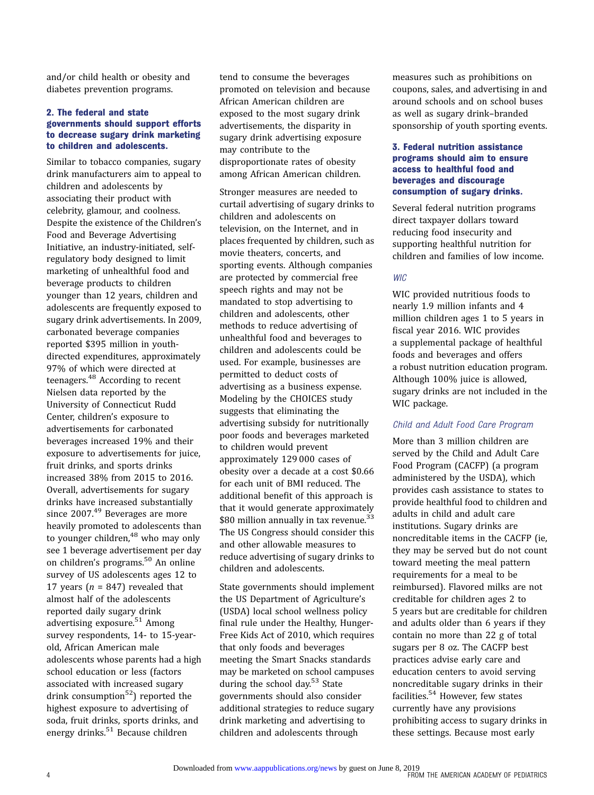and/or child health or obesity and diabetes prevention programs.

#### 2. The federal and state governments should support efforts to decrease sugary drink marketing to children and adolescents.

Similar to tobacco companies, sugary drink manufacturers aim to appeal to children and adolescents by associating their product with celebrity, glamour, and coolness. Despite the existence of the Children's Food and Beverage Advertising Initiative, an industry-initiated, selfregulatory body designed to limit marketing of unhealthful food and beverage products to children younger than 12 years, children and adolescents are frequently exposed to sugary drink advertisements. In 2009, carbonated beverage companies reported \$395 million in youthdirected expenditures, approximately 97% of which were directed at teenagers.[48](#page-9-0) According to recent Nielsen data reported by the University of Connecticut Rudd Center, children's exposure to advertisements for carbonated beverages increased 19% and their exposure to advertisements for juice, fruit drinks, and sports drinks increased 38% from 2015 to 2016. Overall, advertisements for sugary drinks have increased substantially since 2007.<sup>[49](#page-9-0)</sup> Beverages are more heavily promoted to adolescents than to younger children, $48$  who may only see 1 beverage advertisement per day on children's programs.[50](#page-9-0) An online survey of US adolescents ages 12 to 17 years ( $n = 847$ ) revealed that almost half of the adolescents reported daily sugary drink advertising exposure.[51](#page-9-0) Among survey respondents, 14- to 15-yearold, African American male adolescents whose parents had a high school education or less (factors associated with increased sugary drink consumption<sup>[52](#page-9-0)</sup>) reported the highest exposure to advertising of soda, fruit drinks, sports drinks, and energy drinks.<sup>51</sup> Because children

tend to consume the beverages promoted on television and because African American children are exposed to the most sugary drink advertisements, the disparity in sugary drink advertising exposure may contribute to the disproportionate rates of obesity among African American children.

Stronger measures are needed to curtail advertising of sugary drinks to children and adolescents on television, on the Internet, and in places frequented by children, such as movie theaters, concerts, and sporting events. Although companies are protected by commercial free speech rights and may not be mandated to stop advertising to children and adolescents, other methods to reduce advertising of unhealthful food and beverages to children and adolescents could be used. For example, businesses are permitted to deduct costs of advertising as a business expense. Modeling by the CHOICES study suggests that eliminating the advertising subsidy for nutritionally poor foods and beverages marketed to children would prevent approximately 129 000 cases of obesity over a decade at a cost \$0.66 for each unit of BMI reduced. The additional benefit of this approach is that it would generate approximately \$80 million annually in tax revenue.<sup>[33](#page-9-0)</sup> The US Congress should consider this and other allowable measures to reduce advertising of sugary drinks to children and adolescents.

State governments should implement the US Department of Agriculture's (USDA) local school wellness policy final rule under the Healthy, Hunger-Free Kids Act of 2010, which requires that only foods and beverages meeting the Smart Snacks standards may be marketed on school campuses during the school day.<sup>[53](#page-9-0)</sup> State governments should also consider additional strategies to reduce sugary drink marketing and advertising to children and adolescents through

measures such as prohibitions on coupons, sales, and advertising in and around schools and on school buses as well as sugary drink–branded sponsorship of youth sporting events.

#### 3. Federal nutrition assistance programs should aim to ensure access to healthful food and beverages and discourage consumption of sugary drinks.

Several federal nutrition programs direct taxpayer dollars toward reducing food insecurity and supporting healthful nutrition for children and families of low income.

#### WIC.

WIC provided nutritious foods to nearly 1.9 million infants and 4 million children ages 1 to 5 years in fiscal year 2016. WIC provides a supplemental package of healthful foods and beverages and offers a robust nutrition education program. Although 100% juice is allowed, sugary drinks are not included in the WIC package.

#### Child and Adult Food Care Program

More than 3 million children are served by the Child and Adult Care Food Program (CACFP) (a program administered by the USDA), which provides cash assistance to states to provide healthful food to children and adults in child and adult care institutions. Sugary drinks are noncreditable items in the CACFP (ie, they may be served but do not count toward meeting the meal pattern requirements for a meal to be reimbursed). Flavored milks are not creditable for children ages 2 to 5 years but are creditable for children and adults older than 6 years if they contain no more than 22 g of total sugars per 8 oz. The CACFP best practices advise early care and education centers to avoid serving noncreditable sugary drinks in their facilities.[54](#page-10-0) However, few states currently have any provisions prohibiting access to sugary drinks in these settings. Because most early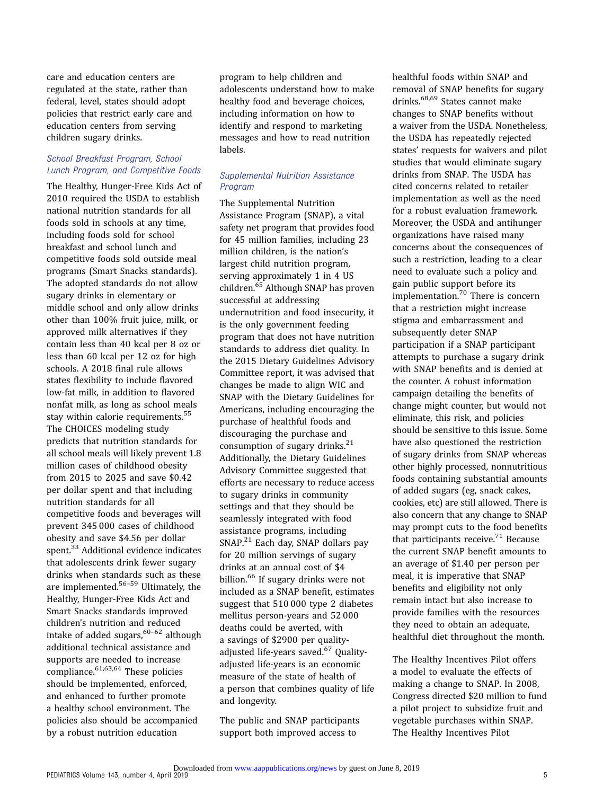care and education centers are regulated at the state, rather than federal, level, states should adopt policies that restrict early care and education centers from serving children sugary drinks.

#### School Breakfast Program, School Lunch Program, and Competitive Foods

The Healthy, Hunger-Free Kids Act of 2010 required the USDA to establish national nutrition standards for all foods sold in schools at any time, including foods sold for school breakfast and school lunch and competitive foods sold outside meal programs (Smart Snacks standards). The adopted standards do not allow sugary drinks in elementary or middle school and only allow drinks other than 100% fruit juice, milk, or approved milk alternatives if they contain less than 40 kcal per 8 oz or less than 60 kcal per 12 oz for high schools. A 2018 final rule allows states flexibility to include flavored low-fat milk, in addition to flavored nonfat milk, as long as school meals stay within calorie requirements.<sup>[55](#page-10-0)</sup> The CHOICES modeling study predicts that nutrition standards for all school meals will likely prevent 1.8 million cases of childhood obesity from 2015 to 2025 and save \$0.42 per dollar spent and that including nutrition standards for all competitive foods and beverages will prevent 345 000 cases of childhood obesity and save \$4.56 per dollar spent.<sup>[33](#page-9-0)</sup> Additional evidence indicates that adolescents drink fewer sugary drinks when standards such as these are implemented.[56](#page-10-0)–[59](#page-10-0) Ultimately, the Healthy, Hunger-Free Kids Act and Smart Snacks standards improved children's nutrition and reduced intake of added sugars,  $60-62$  $60-62$  $60-62$  although additional technical assistance and supports are needed to increase compliance. $61,63,64$  $61,63,64$  $61,63,64$  $61,63,64$  $61,63,64$  These policies should be implemented, enforced, and enhanced to further promote a healthy school environment. The policies also should be accompanied by a robust nutrition education

program to help children and adolescents understand how to make healthy food and beverage choices, including information on how to identify and respond to marketing messages and how to read nutrition labels.

#### Supplemental Nutrition Assistance Program

The Supplemental Nutrition Assistance Program (SNAP), a vital safety net program that provides food for 45 million families, including 23 million children, is the nation's largest child nutrition program, serving approximately 1 in 4 US children.[65](#page-10-0) Although SNAP has proven successful at addressing undernutrition and food insecurity, it is the only government feeding program that does not have nutrition standards to address diet quality. In the 2015 Dietary Guidelines Advisory Committee report, it was advised that changes be made to align WIC and SNAP with the Dietary Guidelines for Americans, including encouraging the purchase of healthful foods and discouraging the purchase and consumption of sugary drinks.<sup>[21](#page-8-0)</sup> Additionally, the Dietary Guidelines Advisory Committee suggested that efforts are necessary to reduce access to sugary drinks in community settings and that they should be seamlessly integrated with food assistance programs, including SNAP.<sup>[21](#page-8-0)</sup> Each day, SNAP dollars pay for 20 million servings of sugary drinks at an annual cost of \$4 billion.<sup>[66](#page-10-0)</sup> If sugary drinks were not included as a SNAP benefit, estimates suggest that 510 000 type 2 diabetes mellitus person-years and 52 000 deaths could be averted, with a savings of \$2900 per quality-adjusted life-years saved.<sup>[67](#page-10-0)</sup> Qualityadjusted life-years is an economic measure of the state of health of a person that combines quality of life and longevity.

The public and SNAP participants support both improved access to

healthful foods within SNAP and removal of SNAP benefits for sugary drinks.<sup>68,[69](#page-10-0)</sup> States cannot make changes to SNAP benefits without a waiver from the USDA. Nonetheless, the USDA has repeatedly rejected states' requests for waivers and pilot studies that would eliminate sugary drinks from SNAP. The USDA has cited concerns related to retailer implementation as well as the need for a robust evaluation framework. Moreover, the USDA and antihunger organizations have raised many concerns about the consequences of such a restriction, leading to a clear need to evaluate such a policy and gain public support before its implementation.<sup>[70](#page-10-0)</sup> There is concern that a restriction might increase stigma and embarrassment and subsequently deter SNAP participation if a SNAP participant attempts to purchase a sugary drink with SNAP benefits and is denied at the counter. A robust information campaign detailing the benefits of change might counter, but would not eliminate, this risk, and policies should be sensitive to this issue. Some have also questioned the restriction of sugary drinks from SNAP whereas other highly processed, nonnutritious foods containing substantial amounts of added sugars (eg, snack cakes, cookies, etc) are still allowed. There is also concern that any change to SNAP may prompt cuts to the food benefits that participants receive. $71$  Because the current SNAP benefit amounts to an average of \$1.40 per person per meal, it is imperative that SNAP benefits and eligibility not only remain intact but also increase to provide families with the resources they need to obtain an adequate, healthful diet throughout the month.

The Healthy Incentives Pilot offers a model to evaluate the effects of making a change to SNAP. In 2008, Congress directed \$20 million to fund a pilot project to subsidize fruit and vegetable purchases within SNAP. The Healthy Incentives Pilot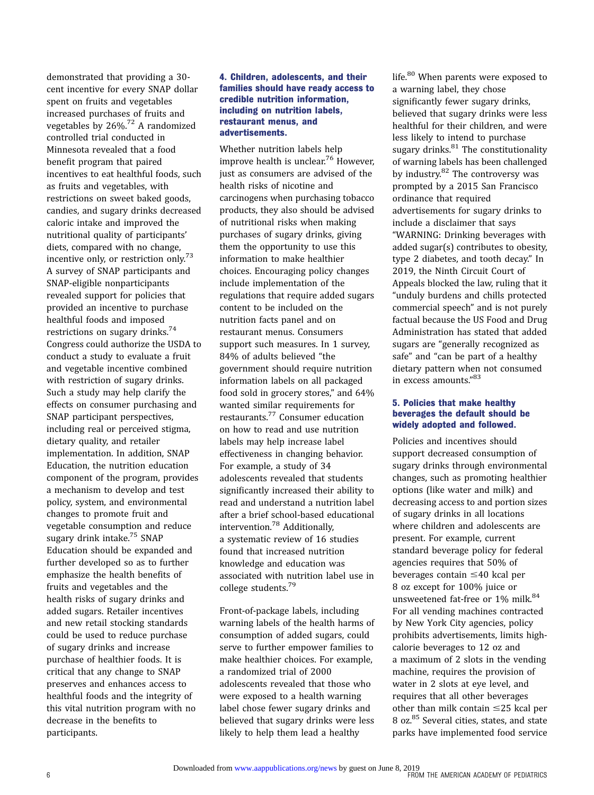demonstrated that providing a 30 cent incentive for every SNAP dollar spent on fruits and vegetables increased purchases of fruits and vegetables by 26%.[72](#page-10-0) A randomized controlled trial conducted in Minnesota revealed that a food benefit program that paired incentives to eat healthful foods, such as fruits and vegetables, with restrictions on sweet baked goods, candies, and sugary drinks decreased caloric intake and improved the nutritional quality of participants' diets, compared with no change, incentive only, or restriction only.[73](#page-10-0) A survey of SNAP participants and SNAP-eligible nonparticipants revealed support for policies that provided an incentive to purchase healthful foods and imposed restrictions on sugary drinks.<sup>74</sup> Congress could authorize the USDA to conduct a study to evaluate a fruit and vegetable incentive combined with restriction of sugary drinks. Such a study may help clarify the effects on consumer purchasing and SNAP participant perspectives, including real or perceived stigma, dietary quality, and retailer implementation. In addition, SNAP Education, the nutrition education component of the program, provides a mechanism to develop and test policy, system, and environmental changes to promote fruit and vegetable consumption and reduce sugary drink intake.[75](#page-10-0) SNAP Education should be expanded and further developed so as to further emphasize the health benefits of fruits and vegetables and the health risks of sugary drinks and added sugars. Retailer incentives and new retail stocking standards could be used to reduce purchase of sugary drinks and increase purchase of healthier foods. It is critical that any change to SNAP preserves and enhances access to healthful foods and the integrity of this vital nutrition program with no decrease in the benefits to participants.

#### 4. Children, adolescents, and their families should have ready access to credible nutrition information, including on nutrition labels, restaurant menus, and advertisements.

Whether nutrition labels help improve health is unclear.<sup>[76](#page-10-0)</sup> However, just as consumers are advised of the health risks of nicotine and carcinogens when purchasing tobacco products, they also should be advised of nutritional risks when making purchases of sugary drinks, giving them the opportunity to use this information to make healthier choices. Encouraging policy changes include implementation of the regulations that require added sugars content to be included on the nutrition facts panel and on restaurant menus. Consumers support such measures. In 1 survey, 84% of adults believed "the government should require nutrition information labels on all packaged food sold in grocery stores," and 64% wanted similar requirements for restaurants[.77](#page-10-0) Consumer education on how to read and use nutrition labels may help increase label effectiveness in changing behavior. For example, a study of 34 adolescents revealed that students significantly increased their ability to read and understand a nutrition label after a brief school-based educational intervention.[78](#page-10-0) Additionally, a systematic review of 16 studies found that increased nutrition knowledge and education was associated with nutrition label use in college students.[79](#page-10-0)

Front-of-package labels, including warning labels of the health harms of consumption of added sugars, could serve to further empower families to make healthier choices. For example, a randomized trial of 2000 adolescents revealed that those who were exposed to a health warning label chose fewer sugary drinks and believed that sugary drinks were less likely to help them lead a healthy

life.<sup>[80](#page-10-0)</sup> When parents were exposed to a warning label, they chose significantly fewer sugary drinks, believed that sugary drinks were less healthful for their children, and were less likely to intend to purchase sugary drinks.<sup>81</sup> The constitutionality of warning labels has been challenged by industry.<sup>[82](#page-11-0)</sup> The controversy was prompted by a 2015 San Francisco ordinance that required advertisements for sugary drinks to include a disclaimer that says "WARNING: Drinking beverages with added sugar(s) contributes to obesity, type 2 diabetes, and tooth decay." In 2019, the Ninth Circuit Court of Appeals blocked the law, ruling that it "unduly burdens and chills protected commercial speech" and is not purely factual because the US Food and Drug Administration has stated that added sugars are "generally recognized as safe" and "can be part of a healthy dietary pattern when not consumed in excess amounts." [83](#page-11-0)

#### 5. Policies that make healthy beverages the default should be widely adopted and followed.

Policies and incentives should support decreased consumption of sugary drinks through environmental changes, such as promoting healthier options (like water and milk) and decreasing access to and portion sizes of sugary drinks in all locations where children and adolescents are present. For example, current standard beverage policy for federal agencies requires that 50% of beverages contain  $\leq 40$  kcal per 8 oz except for 100% juice or unsweetened fat-free or 1% milk.<sup>[84](#page-11-0)</sup> For all vending machines contracted by New York City agencies, policy prohibits advertisements, limits highcalorie beverages to 12 oz and a maximum of 2 slots in the vending machine, requires the provision of water in 2 slots at eye level, and requires that all other beverages other than milk contain  $\leq$ 25 kcal per 8 oz.<sup>[85](#page-11-0)</sup> Several cities, states, and state parks have implemented food service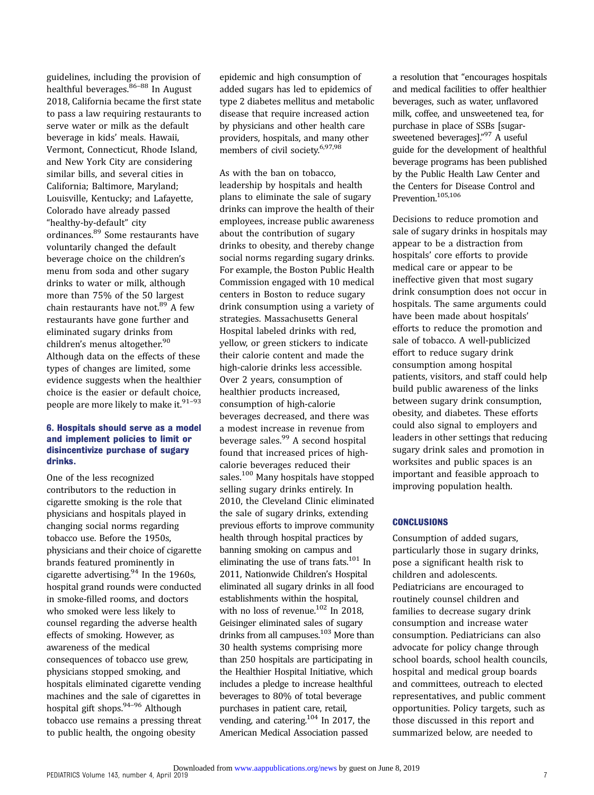guidelines, including the provision of healthful beverages. $86-88$  $86-88$  $86-88$  In August 2018, California became the first state to pass a law requiring restaurants to serve water or milk as the default beverage in kids' meals. Hawaii, Vermont, Connecticut, Rhode Island, and New York City are considering similar bills, and several cities in California; Baltimore, Maryland; Louisville, Kentucky; and Lafayette, Colorado have already passed "healthy-by-default" city ordinances.[89](#page-11-0) Some restaurants have voluntarily changed the default beverage choice on the children's menu from soda and other sugary drinks to water or milk, although more than 75% of the 50 largest chain restaurants have not. $89A$  $89A$  few restaurants have gone further and eliminated sugary drinks from children's menus altogether.<sup>[90](#page-11-0)</sup> Although data on the effects of these types of changes are limited, some evidence suggests when the healthier choice is the easier or default choice, people are more likely to make it.<sup>[91](#page-11-0)-[93](#page-11-0)</sup>

#### 6. Hospitals should serve as a model and implement policies to limit or disincentivize purchase of sugary drinks.

One of the less recognized contributors to the reduction in cigarette smoking is the role that physicians and hospitals played in changing social norms regarding tobacco use. Before the 1950s, physicians and their choice of cigarette brands featured prominently in cigarette advertising. $94$  In the 1960s, hospital grand rounds were conducted in smoke-filled rooms, and doctors who smoked were less likely to counsel regarding the adverse health effects of smoking. However, as awareness of the medical consequences of tobacco use grew, physicians stopped smoking, and hospitals eliminated cigarette vending machines and the sale of cigarettes in hospital gift shops. $94-96$  $94-96$  Although tobacco use remains a pressing threat to public health, the ongoing obesity

epidemic and high consumption of added sugars has led to epidemics of type 2 diabetes mellitus and metabolic disease that require increased action by physicians and other health care providers, hospitals, and many other members of civil society.<sup>[6,](#page-8-0)[97](#page-11-0),[98](#page-11-0)</sup>

As with the ban on tobacco, leadership by hospitals and health plans to eliminate the sale of sugary drinks can improve the health of their employees, increase public awareness about the contribution of sugary drinks to obesity, and thereby change social norms regarding sugary drinks. For example, the Boston Public Health Commission engaged with 10 medical centers in Boston to reduce sugary drink consumption using a variety of strategies. Massachusetts General Hospital labeled drinks with red, yellow, or green stickers to indicate their calorie content and made the high-calorie drinks less accessible. Over 2 years, consumption of healthier products increased, consumption of high-calorie beverages decreased, and there was a modest increase in revenue from beverage sales.<sup>[99](#page-11-0)</sup> A second hospital found that increased prices of highcalorie beverages reduced their sales.<sup>[100](#page-11-0)</sup> Many hospitals have stopped selling sugary drinks entirely. In 2010, the Cleveland Clinic eliminated the sale of sugary drinks, extending previous efforts to improve community health through hospital practices by banning smoking on campus and eliminating the use of trans fats.<sup>101</sup> In 2011, Nationwide Children's Hospital eliminated all sugary drinks in all food establishments within the hospital, with no loss of revenue. $102$  In 2018, Geisinger eliminated sales of sugary drinks from all campuses.<sup>103</sup> More than 30 health systems comprising more than 250 hospitals are participating in the Healthier Hospital Initiative, which includes a pledge to increase healthful beverages to 80% of total beverage purchases in patient care, retail, vending, and catering. $104$  In 2017, the American Medical Association passed

a resolution that "encourages hospitals and medical facilities to offer healthier beverages, such as water, unflavored milk, coffee, and unsweetened tea, for purchase in place of SSBs [sugar-sweetened beverages]."<sup>[97](#page-11-0)</sup> A useful guide for the development of healthful beverage programs has been published by the Public Health Law Center and the Centers for Disease Control and Prevention.<sup>105,[106](#page-11-0)</sup>

Decisions to reduce promotion and sale of sugary drinks in hospitals may appear to be a distraction from hospitals' core efforts to provide medical care or appear to be ineffective given that most sugary drink consumption does not occur in hospitals. The same arguments could have been made about hospitals' efforts to reduce the promotion and sale of tobacco. A well-publicized effort to reduce sugary drink consumption among hospital patients, visitors, and staff could help build public awareness of the links between sugary drink consumption, obesity, and diabetes. These efforts could also signal to employers and leaders in other settings that reducing sugary drink sales and promotion in worksites and public spaces is an important and feasible approach to improving population health.

#### **CONCLUSIONS**

Consumption of added sugars, particularly those in sugary drinks, pose a significant health risk to children and adolescents. Pediatricians are encouraged to routinely counsel children and families to decrease sugary drink consumption and increase water consumption. Pediatricians can also advocate for policy change through school boards, school health councils, hospital and medical group boards and committees, outreach to elected representatives, and public comment opportunities. Policy targets, such as those discussed in this report and summarized below, are needed to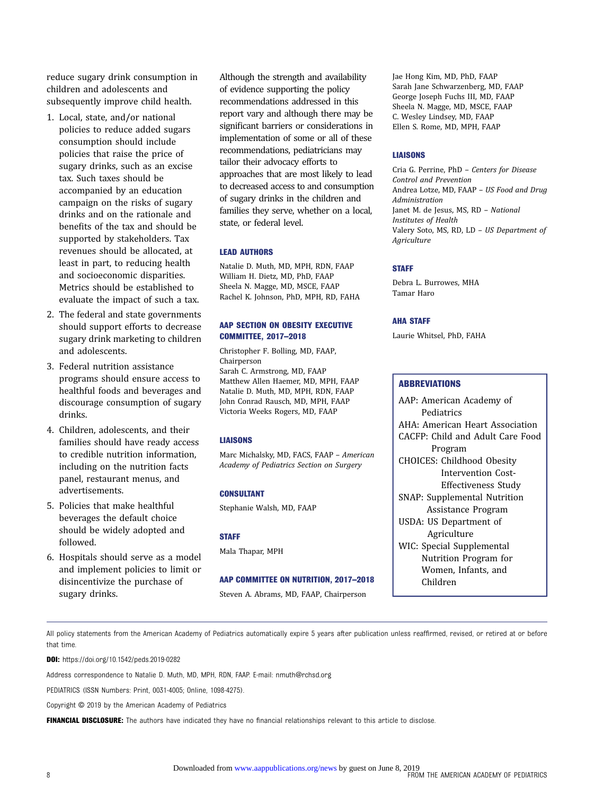reduce sugary drink consumption in children and adolescents and subsequently improve child health.

- 1. Local, state, and/or national policies to reduce added sugars consumption should include policies that raise the price of sugary drinks, such as an excise tax. Such taxes should be accompanied by an education campaign on the risks of sugary drinks and on the rationale and benefits of the tax and should be supported by stakeholders. Tax revenues should be allocated, at least in part, to reducing health and socioeconomic disparities. Metrics should be established to evaluate the impact of such a tax.
- 2. The federal and state governments should support efforts to decrease sugary drink marketing to children and adolescents.
- 3. Federal nutrition assistance programs should ensure access to healthful foods and beverages and discourage consumption of sugary drinks.
- 4. Children, adolescents, and their families should have ready access to credible nutrition information, including on the nutrition facts panel, restaurant menus, and advertisements.
- 5. Policies that make healthful beverages the default choice should be widely adopted and followed.
- 6. Hospitals should serve as a model and implement policies to limit or disincentivize the purchase of sugary drinks.

Although the strength and availability of evidence supporting the policy recommendations addressed in this report vary and although there may be significant barriers or considerations in implementation of some or all of these recommendations, pediatricians may tailor their advocacy efforts to approaches that are most likely to lead to decreased access to and consumption of sugary drinks in the children and families they serve, whether on a local, state, or federal level.

#### LEAD AUTHORS

Natalie D. Muth, MD, MPH, RDN, FAAP William H. Dietz, MD, PhD, FAAP Sheela N. Magge, MD, MSCE, FAAP Rachel K. Johnson, PhD, MPH, RD, FAHA

#### AAP SECTION ON OBESITY EXECUTIVE COMMITTEE, 2017–2018

Christopher F. Bolling, MD, FAAP, Chairperson Sarah C. Armstrong, MD, FAAP Matthew Allen Haemer, MD, MPH, FAAP Natalie D. Muth, MD, MPH, RDN, FAAP John Conrad Rausch, MD, MPH, FAAP Victoria Weeks Rogers, MD, FAAP

#### LIAISONS

Marc Michalsky, MD, FACS, FAAP – American Academy of Pediatrics Section on Surgery

#### CONSULTANT

Stephanie Walsh, MD, FAAP

#### **STAFF**

Mala Thapar, MPH

### AAP COMMITTEE ON NUTRITION, 2017–2018

Steven A. Abrams, MD, FAAP, Chairperson

Jae Hong Kim, MD, PhD, FAAP Sarah Jane Schwarzenberg, MD, FAAP George Joseph Fuchs III, MD, FAAP Sheela N. Magge, MD, MSCE, FAAP C. Wesley Lindsey, MD, FAAP Ellen S. Rome, MD, MPH, FAAP

#### **LIAISONS**

Cria G. Perrine, PhD – Centers for Disease Control and Prevention Andrea Lotze, MD, FAAP – US Food and Drug Administration Janet M. de Jesus, MS, RD – National Institutes of Health Valery Soto, MS, RD, LD – US Department of **Agriculture** 

#### **STAFF**

Debra L. Burrowes, MHA Tamar Haro

#### AHA STAFF

Laurie Whitsel, PhD, FAHA

#### ABBREVIATIONS

AAP: American Academy of Pediatrics AHA: American Heart Association CACFP: Child and Adult Care Food Program CHOICES: Childhood Obesity Intervention Cost-Effectiveness Study SNAP: Supplemental Nutrition Assistance Program USDA: US Department of Agriculture WIC: Special Supplemental Nutrition Program for Women, Infants, and Children

All policy statements from the American Academy of Pediatrics automatically expire 5 years after publication unless reaffirmed, revised, or retired at or before that time.

DOI: <https://doi.org/10.1542/peds.2019-0282>

Address correspondence to Natalie D. Muth, MD, MPH, RDN, FAAP. E-mail: [nmuth@rchsd.org](mailto:nmuth@rchsd.org)

PEDIATRICS (ISSN Numbers: Print, 0031-4005; Online, 1098-4275).

Copyright © 2019 by the American Academy of Pediatrics

FINANCIAL DISCLOSURE: The authors have indicated they have no financial relationships relevant to this article to disclose.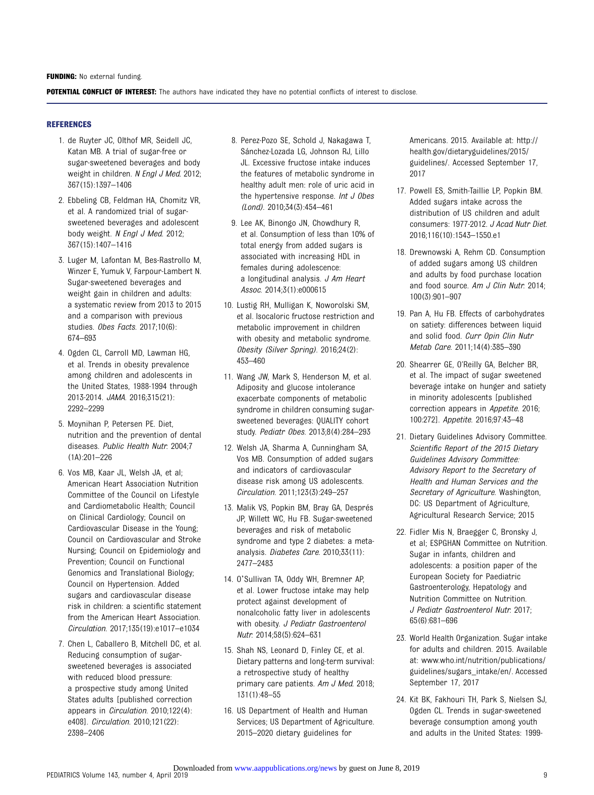<span id="page-8-0"></span>POTENTIAL CONFLICT OF INTEREST: The authors have indicated they have no potential conflicts of interest to disclose.

#### REFERENCES

- 1. de Ruyter JC, Olthof MR, Seidell JC, Katan MB. A trial of sugar-free or sugar-sweetened beverages and body weight in children. N Engl J Med. 2012; 367(15):1397–1406
- 2. Ebbeling CB, Feldman HA, Chomitz VR, et al. A randomized trial of sugarsweetened beverages and adolescent body weight. N Engl J Med. 2012; 367(15):1407–1416
- 3. Luger M, Lafontan M, Bes-Rastrollo M, Winzer E, Yumuk V, Farpour-Lambert N. Sugar-sweetened beverages and weight gain in children and adults: a systematic review from 2013 to 2015 and a comparison with previous studies. Obes Facts. 2017;10(6): 674–693
- 4. Ogden CL, Carroll MD, Lawman HG, et al. Trends in obesity prevalence among children and adolescents in the United States, 1988-1994 through 2013-2014. JAMA. 2016;315(21): 2292–2299
- 5. Moynihan P, Petersen PE. Diet, nutrition and the prevention of dental diseases. Public Health Nutr. 2004;7 (1A):201–226
- 6. Vos MB, Kaar JL, Welsh JA, et al; American Heart Association Nutrition Committee of the Council on Lifestyle and Cardiometabolic Health; Council on Clinical Cardiology; Council on Cardiovascular Disease in the Young; Council on Cardiovascular and Stroke Nursing; Council on Epidemiology and Prevention; Council on Functional Genomics and Translational Biology; Council on Hypertension. Added sugars and cardiovascular disease risk in children: a scientific statement from the American Heart Association. Circulation. 2017;135(19):e1017–e1034
- 7. Chen L, Caballero B, Mitchell DC, et al. Reducing consumption of sugarsweetened beverages is associated with reduced blood pressure: a prospective study among United States adults [published correction appears in Circulation. 2010;122(4): e408]. Circulation. 2010;121(22): 2398–2406
- 8. Perez-Pozo SE, Schold J, Nakagawa T, Sánchez-Lozada LG, Johnson RJ, Lillo JL. Excessive fructose intake induces the features of metabolic syndrome in healthy adult men: role of uric acid in the hypertensive response. Int J Obes (Lond). 2010;34(3):454–461
- 9. Lee AK, Binongo JN, Chowdhury R, et al. Consumption of less than 10% of total energy from added sugars is associated with increasing HDL in females during adolescence: a longitudinal analysis. J Am Heart Assoc. 2014;3(1):e000615
- 10. Lustig RH, Mulligan K, Noworolski SM, et al. Isocaloric fructose restriction and metabolic improvement in children with obesity and metabolic syndrome. Obesity (Silver Spring). 2016;24(2): 453–460
- 11. Wang JW, Mark S, Henderson M, et al. Adiposity and glucose intolerance exacerbate components of metabolic syndrome in children consuming sugarsweetened beverages: QUALITY cohort study. Pediatr Obes. 2013;8(4):284–293
- 12. Welsh JA, Sharma A, Cunningham SA, Vos MB. Consumption of added sugars and indicators of cardiovascular disease risk among US adolescents. Circulation. 2011;123(3):249–257
- 13. Malik VS, Popkin BM, Bray GA, Després JP, Willett WC, Hu FB. Sugar-sweetened beverages and risk of metabolic syndrome and type 2 diabetes: a metaanalysis. Diabetes Care. 2010;33(11): 2477–2483
- 14. O'Sullivan TA, Oddy WH, Bremner AP, et al. Lower fructose intake may help protect against development of nonalcoholic fatty liver in adolescents with obesity. J Pediatr Gastroenterol Nutr. 2014;58(5):624–631
- 15. Shah NS, Leonard D, Finley CE, et al. Dietary patterns and long-term survival: a retrospective study of healthy primary care patients. Am J Med. 2018; 131(1):48–55
- 16. US Department of Health and Human Services; US Department of Agriculture. 2015–2020 dietary guidelines for

Americans. 2015. Available at: [http://](http://health.gov/dietaryguidelines/2015/guidelines/) [health.gov/dietaryguidelines/2015/](http://health.gov/dietaryguidelines/2015/guidelines/) [guidelines/](http://health.gov/dietaryguidelines/2015/guidelines/). Accessed September 17, 2017

- 17. Powell ES, Smith-Taillie LP, Popkin BM. Added sugars intake across the distribution of US children and adult consumers: 1977-2012. J Acad Nutr Diet. 2016;116(10):1543–1550.e1
- 18. Drewnowski A, Rehm CD. Consumption of added sugars among US children and adults by food purchase location and food source. Am J Clin Nutr. 2014; 100(3):901–907
- 19. Pan A, Hu FB. Effects of carbohydrates on satiety: differences between liquid and solid food. Curr Opin Clin Nutr Metab Care. 2011;14(4):385–390
- 20. Shearrer GE, O'Reilly GA, Belcher BR, et al. The impact of sugar sweetened beverage intake on hunger and satiety in minority adolescents [published correction appears in Appetite. 2016; 100:272]. Appetite. 2016;97:43–48
- 21. Dietary Guidelines Advisory Committee. Scientific Report of the 2015 Dietary Guidelines Advisory Committee: Advisory Report to the Secretary of Health and Human Services and the Secretary of Agriculture. Washington, DC: US Department of Agriculture, Agricultural Research Service; 2015
- 22. Fidler Mis N, Braegger C, Bronsky J, et al; ESPGHAN Committee on Nutrition. Sugar in infants, children and adolescents: a position paper of the European Society for Paediatric Gastroenterology, Hepatology and Nutrition Committee on Nutrition. J Pediatr Gastroenterol Nutr. 2017; 65(6):681–696
- 23. World Health Organization. Sugar intake for adults and children. 2015. Available at: [www.who.int/nutrition/publications/](http://www.who.int/nutrition/publications/guidelines/sugars_intake/en/) [guidelines/sugars\\_intake/en/.](http://www.who.int/nutrition/publications/guidelines/sugars_intake/en/) Accessed September 17, 2017
- 24. Kit BK, Fakhouri TH, Park S, Nielsen SJ, Ogden CL. Trends in sugar-sweetened beverage consumption among youth and adults in the United States: 1999-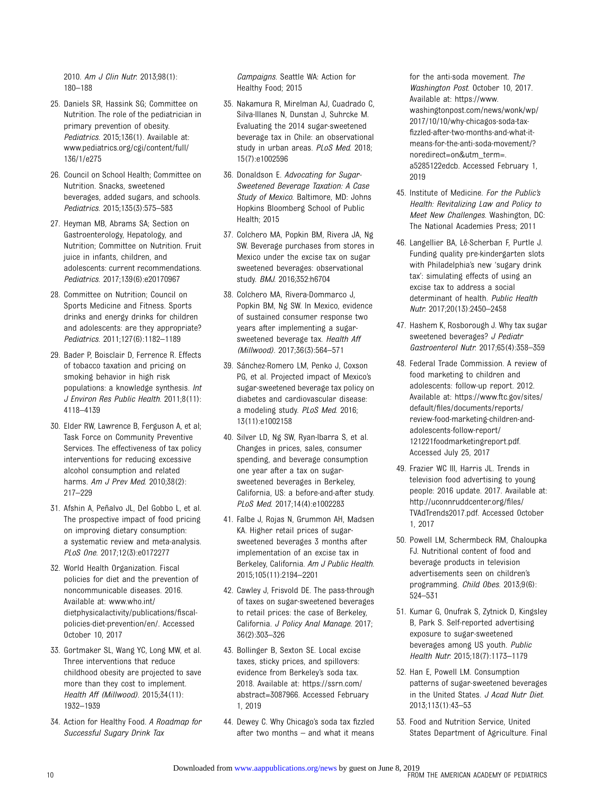<span id="page-9-0"></span>2010. Am J Clin Nutr. 2013;98(1): 180–188

- 25. Daniels SR, Hassink SG; Committee on Nutrition. The role of the pediatrician in primary prevention of obesity. Pediatrics. 2015;136(1). Available at: [www.pediatrics.org/cgi/content/full/](http://www.pediatrics.org/cgi/content/full/136/1/e275) [136/1/e275](http://www.pediatrics.org/cgi/content/full/136/1/e275)
- 26. Council on School Health; Committee on Nutrition. Snacks, sweetened beverages, added sugars, and schools. Pediatrics. 2015;135(3):575–583
- 27. Heyman MB, Abrams SA; Section on Gastroenterology, Hepatology, and Nutrition; Committee on Nutrition. Fruit juice in infants, children, and adolescents: current recommendations. Pediatrics. 2017;139(6):e20170967
- 28. Committee on Nutrition; Council on Sports Medicine and Fitness. Sports drinks and energy drinks for children and adolescents: are they appropriate? Pediatrics. 2011;127(6):1182–1189
- 29. Bader P, Boisclair D, Ferrence R. Effects of tobacco taxation and pricing on smoking behavior in high risk populations: a knowledge synthesis. Int J Environ Res Public Health. 2011;8(11): 4118–4139
- 30. Elder RW, Lawrence B, Ferguson A, et al; Task Force on Community Preventive Services. The effectiveness of tax policy interventions for reducing excessive alcohol consumption and related harms. Am J Prev Med. 2010;38(2): 217–229
- 31. Afshin A, Peñalvo JL, Del Gobbo L, et al. The prospective impact of food pricing on improving dietary consumption: a systematic review and meta-analysis. PLoS One. 2017;12(3):e0172277
- 32. World Health Organization. Fiscal policies for diet and the prevention of noncommunicable diseases. 2016. Available at: [www.who.int/](http://www.who.int/dietphysicalactivity/publications/fiscal-policies-diet-prevention/en/) [dietphysicalactivity/publications/](http://www.who.int/dietphysicalactivity/publications/fiscal-policies-diet-prevention/en/)fiscal[policies-diet-prevention/en/.](http://www.who.int/dietphysicalactivity/publications/fiscal-policies-diet-prevention/en/) Accessed October 10, 2017
- 33. Gortmaker SL, Wang YC, Long MW, et al. Three interventions that reduce childhood obesity are projected to save more than they cost to implement. Health Aff (Millwood). 2015;34(11): 1932–1939
- 34. Action for Healthy Food. A Roadmap for Successful Sugary Drink Tax

Campaigns. Seattle WA: Action for Healthy Food; 2015

- 35. Nakamura R, Mirelman AJ, Cuadrado C, Silva-Illanes N, Dunstan J, Suhrcke M. Evaluating the 2014 sugar-sweetened beverage tax in Chile: an observational study in urban areas. PLoS Med. 2018; 15(7):e1002596
- 36. Donaldson E. Advocating for Sugar-Sweetened Beverage Taxation: A Case Study of Mexico. Baltimore, MD: Johns Hopkins Bloomberg School of Public Health; 2015
- 37. Colchero MA, Popkin BM, Rivera JA, Ng SW. Beverage purchases from stores in Mexico under the excise tax on sugar sweetened beverages: observational study. BMJ. 2016;352:h6704
- 38. Colchero MA, Rivera-Dommarco J, Popkin BM, Ng SW. In Mexico, evidence of sustained consumer response two years after implementing a sugarsweetened beverage tax. Health Aff (Millwood). 2017;36(3):564–571
- 39. Sánchez-Romero LM, Penko J, Coxson PG, et al. Projected impact of Mexico's sugar-sweetened beverage tax policy on diabetes and cardiovascular disease: a modeling study. PLoS Med. 2016; 13(11):e1002158
- 40. Silver LD, Ng SW, Ryan-Ibarra S, et al. Changes in prices, sales, consumer spending, and beverage consumption one year after a tax on sugarsweetened beverages in Berkeley, California, US: a before-and-after study. PLoS Med. 2017;14(4):e1002283
- 41. Falbe J, Rojas N, Grummon AH, Madsen KA. Higher retail prices of sugarsweetened beverages 3 months after implementation of an excise tax in Berkeley, California. Am J Public Health. 2015;105(11):2194–2201
- 42. Cawley J, Frisvold DE. The pass-through of taxes on sugar-sweetened beverages to retail prices: the case of Berkeley, California. J Policy Anal Manage. 2017; 36(2):303–326
- 43. Bollinger B, Sexton SE. Local excise taxes, sticky prices, and spillovers: evidence from Berkeley's soda tax. 2018. Available at: [https://ssrn.com/](https://ssrn.com/abstract=3087966) [abstract=3087966.](https://ssrn.com/abstract=3087966) Accessed February 1, 2019
- 44. Dewey C. Why Chicago's soda tax fizzled after two months – and what it means

for the anti-soda movement. The Washington Post. October 10, 2017. Available at: https://www. washingtonpost.com/news/wonk/wp/ 2017/10/10/why-chicagos-soda-taxfizzled-after-two-months-and-what-itmeans-for-the-anti-soda-movement/? noredirect=on&utm\_term=. a5285122edcb. Accessed February 1, 2019

- 45. Institute of Medicine. For the Public's Health: Revitalizing Law and Policy to Meet New Challenges. Washington, DC: The National Academies Press; 2011
- 46. Langellier BA, Lê-Scherban F, Purtle J. Funding quality pre-kindergarten slots with Philadelphia's new 'sugary drink tax': simulating effects of using an excise tax to address a social determinant of health. Public Health Nutr. 2017;20(13):2450–2458
- 47. Hashem K, Rosborough J. Why tax sugar sweetened beverages? J Pediatr Gastroenterol Nutr. 2017;65(4):358–359
- 48. Federal Trade Commission. A review of food marketing to children and adolescents: follow-up report. 2012. Available at: [https://www.ftc.gov/sites/](https://www.ftc.gov/sites/default/files/documents/reports/review-food-marketing-children-and-adolescents-follow-report/121221foodmarketingreport.pdf) default/fi[les/documents/reports/](https://www.ftc.gov/sites/default/files/documents/reports/review-food-marketing-children-and-adolescents-follow-report/121221foodmarketingreport.pdf) [review-food-marketing-children-and](https://www.ftc.gov/sites/default/files/documents/reports/review-food-marketing-children-and-adolescents-follow-report/121221foodmarketingreport.pdf)[adolescents-follow-report/](https://www.ftc.gov/sites/default/files/documents/reports/review-food-marketing-children-and-adolescents-follow-report/121221foodmarketingreport.pdf) [121221foodmarketingreport.pdf](https://www.ftc.gov/sites/default/files/documents/reports/review-food-marketing-children-and-adolescents-follow-report/121221foodmarketingreport.pdf). Accessed July 25, 2017
- 49. Frazier WC III, Harris JL. Trends in television food advertising to young people: 2016 update. 2017. Available at: [http://uconnruddcenter.org/](http://uconnruddcenter.org/files/TVAdTrends2017.pdf)files/ [TVAdTrends2017.pdf.](http://uconnruddcenter.org/files/TVAdTrends2017.pdf) Accessed October 1, 2017
- 50. Powell LM, Schermbeck RM, Chaloupka FJ. Nutritional content of food and beverage products in television advertisements seen on children's programming. Child Obes. 2013;9(6): 524–531
- 51. Kumar G, Onufrak S, Zytnick D, Kingsley B, Park S. Self-reported advertising exposure to sugar-sweetened beverages among US youth. Public Health Nutr. 2015;18(7):1173–1179
- 52. Han E, Powell LM. Consumption patterns of sugar-sweetened beverages in the United States. J Acad Nutr Diet. 2013;113(1):43–53
- 53. Food and Nutrition Service, United States Department of Agriculture. Final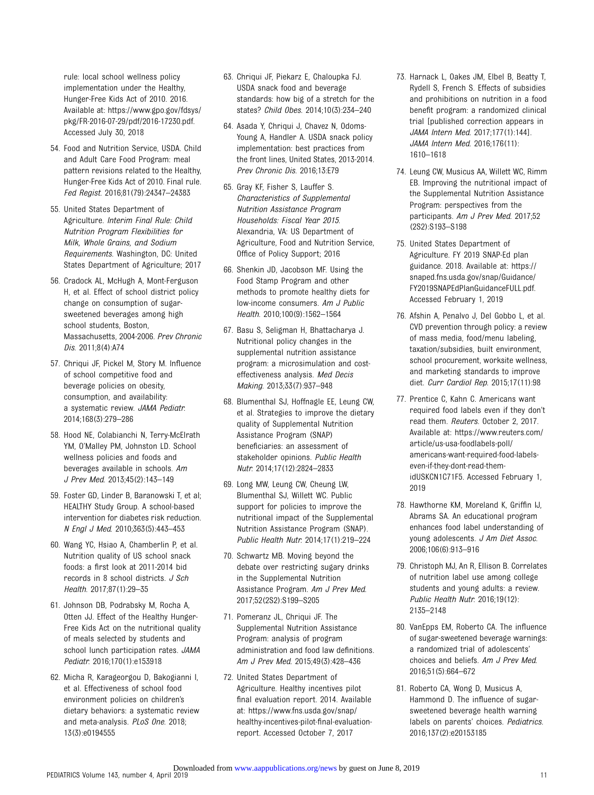<span id="page-10-0"></span>rule: local school wellness policy implementation under the Healthy, Hunger-Free Kids Act of 2010. 2016. Available at: [https://www.gpo.gov/fdsys/](https://www.gpo.gov/fdsys/pkg/FR-2016-07-29/pdf/2016-17230.pdf) [pkg/FR-2016-07-29/pdf/2016-17230.pdf](https://www.gpo.gov/fdsys/pkg/FR-2016-07-29/pdf/2016-17230.pdf). Accessed July 30, 2018

- 54. Food and Nutrition Service, USDA. Child and Adult Care Food Program: meal pattern revisions related to the Healthy, Hunger-Free Kids Act of 2010. Final rule. Fed Regist. 2016;81(79):24347–24383
- 55. United States Department of Agriculture. Interim Final Rule: Child Nutrition Program Flexibilities for Milk, Whole Grains, and Sodium Requirements. Washington, DC: United States Department of Agriculture; 2017
- 56. Cradock AL, McHugh A, Mont-Ferguson H, et al. Effect of school district policy change on consumption of sugarsweetened beverages among high school students, Boston, Massachusetts, 2004-2006. Prev Chronic Dis. 2011;8(4):A74
- 57. Chriqui JF, Pickel M, Story M. Influence of school competitive food and beverage policies on obesity, consumption, and availability: a systematic review. JAMA Pediatr. 2014;168(3):279–286
- 58. Hood NE, Colabianchi N, Terry-McElrath YM, O'Malley PM, Johnston LD. School wellness policies and foods and beverages available in schools. Am J Prev Med. 2013;45(2):143–149
- 59. Foster GD, Linder B, Baranowski T, et al; HEALTHY Study Group. A school-based intervention for diabetes risk reduction. N Engl J Med. 2010;363(5):443–453
- 60. Wang YC, Hsiao A, Chamberlin P, et al. Nutrition quality of US school snack foods: a first look at 2011-2014 bid records in 8 school districts. J Sch Health. 2017;87(1):29–35
- 61. Johnson DB, Podrabsky M, Rocha A, Otten JJ. Effect of the Healthy Hunger-Free Kids Act on the nutritional quality of meals selected by students and school lunch participation rates. JAMA Pediatr. 2016;170(1):e153918
- 62. Micha R, Karageorgou D, Bakogianni I, et al. Effectiveness of school food environment policies on children's dietary behaviors: a systematic review and meta-analysis. PLoS One. 2018; 13(3):e0194555
- 63. Chriqui JF, Piekarz E, Chaloupka FJ. USDA snack food and beverage standards: how big of a stretch for the states? Child Obes. 2014;10(3):234–240
- 64. Asada Y, Chriqui J, Chavez N, Odoms-Young A, Handler A. USDA snack policy implementation: best practices from the front lines, United States, 2013-2014. Prev Chronic Dis. 2016;13:E79
- 65. Gray KF, Fisher S, Lauffer S. Characteristics of Supplemental Nutrition Assistance Program Households: Fiscal Year 2015. Alexandria, VA: US Department of Agriculture, Food and Nutrition Service, Office of Policy Support; 2016
- 66. Shenkin JD, Jacobson MF. Using the Food Stamp Program and other methods to promote healthy diets for low-income consumers. Am J Public Health. 2010;100(9):1562–1564
- 67. Basu S, Seligman H, Bhattacharya J. Nutritional policy changes in the supplemental nutrition assistance program: a microsimulation and costeffectiveness analysis. Med Decis Making. 2013;33(7):937–948
- 68. Blumenthal SJ, Hoffnagle EE, Leung CW, et al. Strategies to improve the dietary quality of Supplemental Nutrition Assistance Program (SNAP) beneficiaries: an assessment of stakeholder opinions. Public Health Nutr. 2014;17(12):2824–2833
- 69. Long MW, Leung CW, Cheung LW, Blumenthal SJ, Willett WC. Public support for policies to improve the nutritional impact of the Supplemental Nutrition Assistance Program (SNAP). Public Health Nutr. 2014;17(1):219–224
- 70. Schwartz MB. Moving beyond the debate over restricting sugary drinks in the Supplemental Nutrition Assistance Program. Am J Prev Med. 2017;52(2S2):S199–S205
- 71. Pomeranz JL, Chriqui JF. The Supplemental Nutrition Assistance Program: analysis of program administration and food law definitions. Am J Prev Med. 2015;49(3):428–436
- 72. United States Department of Agriculture. Healthy incentives pilot final evaluation report. 2014. Available at: [https://www.fns.usda.gov/snap/](https://www.fns.usda.gov/snap/healthy-incentives-pilot-final-evaluation-report) [healthy-incentives-pilot-](https://www.fns.usda.gov/snap/healthy-incentives-pilot-final-evaluation-report)final-evaluation[report](https://www.fns.usda.gov/snap/healthy-incentives-pilot-final-evaluation-report). Accessed October 7, 2017
- 73. Harnack L, Oakes JM, Elbel B, Beatty T, Rydell S, French S. Effects of subsidies and prohibitions on nutrition in a food benefit program: a randomized clinical trial [published correction appears in JAMA Intern Med. 2017;177(1):144]. JAMA Intern Med. 2016;176(11): 1610–1618
- 74. Leung CW, Musicus AA, Willett WC, Rimm EB. Improving the nutritional impact of the Supplemental Nutrition Assistance Program: perspectives from the participants. Am J Prev Med. 2017;52 (2S2):S193–S198
- 75. United States Department of Agriculture. FY 2019 SNAP-Ed plan guidance. 2018. Available at: [https://](https://snaped.fns.usda.gov/snap/Guidance/FY2019SNAPEdPlanGuidanceFULL.pdf) [snaped.fns.usda.gov/snap/Guidance/](https://snaped.fns.usda.gov/snap/Guidance/FY2019SNAPEdPlanGuidanceFULL.pdf) [FY2019SNAPEdPlanGuidanceFULL.pdf.](https://snaped.fns.usda.gov/snap/Guidance/FY2019SNAPEdPlanGuidanceFULL.pdf) Accessed February 1, 2019
- 76. Afshin A, Penalvo J, Del Gobbo L, et al. CVD prevention through policy: a review of mass media, food/menu labeling, taxation/subsidies, built environment, school procurement, worksite wellness, and marketing standards to improve diet. Curr Cardiol Rep. 2015;17(11):98
- 77. Prentice C, Kahn C. Americans want required food labels even if they don't read them. Reuters. October 2, 2017. Available at: [https://www.reuters.com/](https://www.reuters.com/article/us-usa-foodlabels-poll/americans-want-required-food-labels-even-if-they-dont-read-them-idUSKCN1C71F5) [article/us-usa-foodlabels-poll/](https://www.reuters.com/article/us-usa-foodlabels-poll/americans-want-required-food-labels-even-if-they-dont-read-them-idUSKCN1C71F5) [americans-want-required-food-labels](https://www.reuters.com/article/us-usa-foodlabels-poll/americans-want-required-food-labels-even-if-they-dont-read-them-idUSKCN1C71F5)[even-if-they-dont-read-them](https://www.reuters.com/article/us-usa-foodlabels-poll/americans-want-required-food-labels-even-if-they-dont-read-them-idUSKCN1C71F5)[idUSKCN1C71F5.](https://www.reuters.com/article/us-usa-foodlabels-poll/americans-want-required-food-labels-even-if-they-dont-read-them-idUSKCN1C71F5) Accessed February 1, 2019
- 78. Hawthorne KM, Moreland K, Griffin IJ, Abrams SA. An educational program enhances food label understanding of young adolescents. J Am Diet Assoc. 2006;106(6):913–916
- 79. Christoph MJ, An R, Ellison B. Correlates of nutrition label use among college students and young adults: a review. Public Health Nutr. 2016;19(12): 2135–2148
- 80. VanEpps EM, Roberto CA. The influence of sugar-sweetened beverage warnings: a randomized trial of adolescents' choices and beliefs. Am J Prev Med. 2016;51(5):664–672
- 81. Roberto CA, Wong D, Musicus A, Hammond D. The influence of sugarsweetened beverage health warning labels on parents' choices. Pediatrics. 2016;137(2):e20153185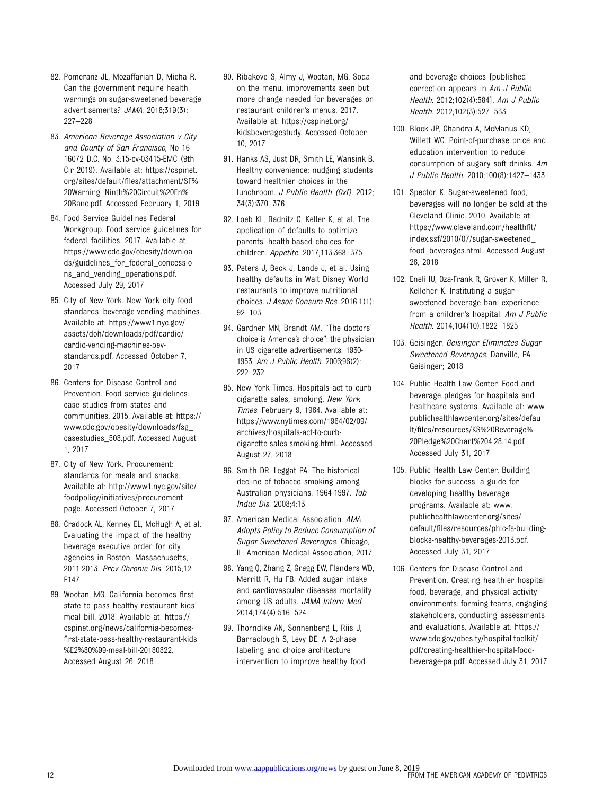- <span id="page-11-0"></span>82. Pomeranz JL, Mozaffarian D, Micha R. Can the government require health warnings on sugar-sweetened beverage advertisements? JAMA. 2018;319(3): 227–228
- 83. American Beverage Association v City and County of San Francisco, No 16- 16072 D.C. No. 3:15-cv-03415-EMC (9th Cir 2019). Available at: https://cspinet. org/sites/default/files/attachment/SF% 20Warning\_Ninth%20Circuit%20En% 20Banc.pdf. Accessed February 1, 2019
- 84. Food Service Guidelines Federal Workgroup. Food service guidelines for federal facilities. 2017. Available at: [https://www.cdc.gov/obesity/downloa](https://www.cdc.gov/obesity/downloads/guidelines_for_federal_concessions_and_vending_operations.pdf) [ds/guidelines\\_for\\_federal\\_concessio](https://www.cdc.gov/obesity/downloads/guidelines_for_federal_concessions_and_vending_operations.pdf) [ns\\_and\\_vending\\_operations.pdf](https://www.cdc.gov/obesity/downloads/guidelines_for_federal_concessions_and_vending_operations.pdf). Accessed July 29, 2017
- 85. City of New York. New York city food standards: beverage vending machines. Available at: [https://www1.nyc.gov/](https://www1.nyc.gov/assets/doh/downloads/pdf/cardio/cardio-vending-machines-bev-standards.pdf) [assets/doh/downloads/pdf/cardio/](https://www1.nyc.gov/assets/doh/downloads/pdf/cardio/cardio-vending-machines-bev-standards.pdf) [cardio-vending-machines-bev](https://www1.nyc.gov/assets/doh/downloads/pdf/cardio/cardio-vending-machines-bev-standards.pdf)[standards.pdf.](https://www1.nyc.gov/assets/doh/downloads/pdf/cardio/cardio-vending-machines-bev-standards.pdf) Accessed October 7, 2017
- 86. Centers for Disease Control and Prevention. Food service guidelines: case studies from states and communities. 2015. Available at: [https://](https://www.cdc.gov/obesity/downloads/fsg_casestudies_508.pdf) [www.cdc.gov/obesity/downloads/fsg\\_](https://www.cdc.gov/obesity/downloads/fsg_casestudies_508.pdf) [casestudies\\_508.pdf.](https://www.cdc.gov/obesity/downloads/fsg_casestudies_508.pdf) Accessed August 1, 2017
- 87. City of New York. Procurement: standards for meals and snacks. Available at: [http://www1.nyc.gov/site/](http://www1.nyc.gov/site/foodpolicy/initiatives/procurement.page) [foodpolicy/initiatives/procurement.](http://www1.nyc.gov/site/foodpolicy/initiatives/procurement.page) [page](http://www1.nyc.gov/site/foodpolicy/initiatives/procurement.page). Accessed October 7, 2017
- 88. Cradock AL, Kenney EL, McHugh A, et al. Evaluating the impact of the healthy beverage executive order for city agencies in Boston, Massachusetts, 2011-2013. Prev Chronic Dis. 2015;12: E147
- 89. Wootan, MG. California becomes first state to pass healthy restaurant kids' meal bill. 2018. Available at: [https://](https://cspinet.org/news/california-becomes-first-state-pass-healthy-restaurant-kids%E2%80%99-meal-bill-20180822) [cspinet.org/news/california-becomes](https://cspinet.org/news/california-becomes-first-state-pass-healthy-restaurant-kids%E2%80%99-meal-bill-20180822)fi[rst-state-pass-healthy-restaurant-kids](https://cspinet.org/news/california-becomes-first-state-pass-healthy-restaurant-kids%E2%80%99-meal-bill-20180822) [%E2%80%99-meal-bill-20180822](https://cspinet.org/news/california-becomes-first-state-pass-healthy-restaurant-kids%E2%80%99-meal-bill-20180822). Accessed August 26, 2018
- 90. Ribakove S, Almy J, Wootan, MG. Soda on the menu: improvements seen but more change needed for beverages on restaurant children's menus. 2017. Available at: [https://cspinet.org/](https://cspinet.org/kidsbeveragestudy) [kidsbeveragestudy.](https://cspinet.org/kidsbeveragestudy) Accessed October 10, 2017
- 91. Hanks AS, Just DR, Smith LE, Wansink B. Healthy convenience: nudging students toward healthier choices in the lunchroom. J Public Health (Oxf). 2012; 34(3):370–376
- 92. Loeb KL, Radnitz C, Keller K, et al. The application of defaults to optimize parents' health-based choices for children. Appetite. 2017;113:368–375
- 93. Peters J, Beck J, Lande J, et al. Using healthy defaults in Walt Disney World restaurants to improve nutritional choices. J Assoc Consum Res. 2016;1(1): 92–103
- 94. Gardner MN, Brandt AM. "The doctors' choice is America's choice": the physician in US cigarette advertisements, 1930- 1953. Am J Public Health. 2006;96(2): 222–232
- 95. New York Times. Hospitals act to curb cigarette sales, smoking. New York Times. February 9, 1964. Available at: https://www.nytimes.com/1964/02/09/ archives/hospitals-act-to-curbcigarette-sales-smoking.html. Accessed August 27, 2018
- 96. Smith DR, Leggat PA. The historical decline of tobacco smoking among Australian physicians: 1964-1997. Tob Induc Dis. 2008;4:13
- 97. American Medical Association. AMA Adopts Policy to Reduce Consumption of Sugar-Sweetened Beverages. Chicago, IL: American Medical Association; 2017
- 98. Yang Q, Zhang Z, Gregg EW, Flanders WD, Merritt R, Hu FB. Added sugar intake and cardiovascular diseases mortality among US adults. JAMA Intern Med. 2014;174(4):516–524
- 99. Thorndike AN, Sonnenberg L, Riis J, Barraclough S, Levy DE. A 2-phase labeling and choice architecture intervention to improve healthy food

and beverage choices [published correction appears in Am J Public Health. 2012;102(4):584]. Am J Public Health. 2012;102(3):527–533

- 100. Block JP, Chandra A, McManus KD, Willett WC. Point-of-purchase price and education intervention to reduce consumption of sugary soft drinks. Am J Public Health. 2010;100(8):1427–1433
- 101. Spector K. Sugar-sweetened food, beverages will no longer be sold at the Cleveland Clinic. 2010. Available at: [https://www.cleveland.com/health](https://www.cleveland.com/healthfit/index.ssf/2010/07/sugar-sweetened_food_beverages.html)fit/ [index.ssf/2010/07/sugar-sweetened\\_](https://www.cleveland.com/healthfit/index.ssf/2010/07/sugar-sweetened_food_beverages.html) [food\\_beverages.html.](https://www.cleveland.com/healthfit/index.ssf/2010/07/sugar-sweetened_food_beverages.html) Accessed August 26, 2018
- 102. Eneli IU, Oza-Frank R, Grover K, Miller R, Kelleher K. Instituting a sugarsweetened beverage ban: experience from a children's hospital. Am J Public Health. 2014;104(10):1822–1825
- 103. Geisinger. Geisinger Eliminates Sugar-Sweetened Beverages. Danville, PA: Geisinger; 2018
- 104. Public Health Law Center. Food and beverage pledges for hospitals and healthcare systems. Available at: [www.](http://www.publichealthlawcenter.org/sites/default/files/resources/KS%20Beverage%20Pledge%20Chart%204.28.14.pdf) [publichealthlawcenter.org/sites/defau](http://www.publichealthlawcenter.org/sites/default/files/resources/KS%20Beverage%20Pledge%20Chart%204.28.14.pdf) lt/fi[les/resources/KS%20Beverage%](http://www.publichealthlawcenter.org/sites/default/files/resources/KS%20Beverage%20Pledge%20Chart%204.28.14.pdf) [20Pledge%20Chart%204.28.14.pdf.](http://www.publichealthlawcenter.org/sites/default/files/resources/KS%20Beverage%20Pledge%20Chart%204.28.14.pdf) Accessed July 31, 2017
- 105. Public Health Law Center. Building blocks for success: a guide for developing healthy beverage programs. Available at: [www.](http://www.publichealthlawcenter.org/sites/default/files/resources/phlc-fs-building-blocks-healthy-beverages-2013.pdf) [publichealthlawcenter.org/sites/](http://www.publichealthlawcenter.org/sites/default/files/resources/phlc-fs-building-blocks-healthy-beverages-2013.pdf) default/fi[les/resources/phlc-fs-building](http://www.publichealthlawcenter.org/sites/default/files/resources/phlc-fs-building-blocks-healthy-beverages-2013.pdf)[blocks-healthy-beverages-2013.pdf](http://www.publichealthlawcenter.org/sites/default/files/resources/phlc-fs-building-blocks-healthy-beverages-2013.pdf). Accessed July 31, 2017
- 106. Centers for Disease Control and Prevention. Creating healthier hospital food, beverage, and physical activity environments: forming teams, engaging stakeholders, conducting assessments and evaluations. Available at: [https://](https://www.cdc.gov/obesity/hospital-toolkit/pdf/creating-healthier-hospital-food-beverage-pa.pdf) [www.cdc.gov/obesity/hospital-toolkit/](https://www.cdc.gov/obesity/hospital-toolkit/pdf/creating-healthier-hospital-food-beverage-pa.pdf) [pdf/creating-healthier-hospital-food](https://www.cdc.gov/obesity/hospital-toolkit/pdf/creating-healthier-hospital-food-beverage-pa.pdf)[beverage-pa.pdf.](https://www.cdc.gov/obesity/hospital-toolkit/pdf/creating-healthier-hospital-food-beverage-pa.pdf) Accessed July 31, 2017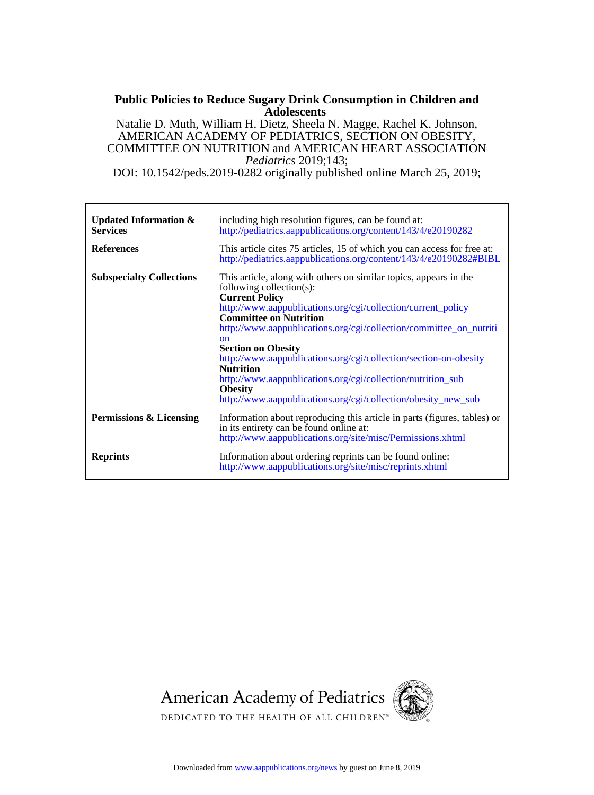#### **Adolescents Public Policies to Reduce Sugary Drink Consumption in Children and**

*Pediatrics* 2019;143; COMMITTEE ON NUTRITION and AMERICAN HEART ASSOCIATION AMERICAN ACADEMY OF PEDIATRICS, SECTION ON OBESITY, Natalie D. Muth, William H. Dietz, Sheela N. Magge, Rachel K. Johnson,

DOI: 10.1542/peds.2019-0282 originally published online March 25, 2019;

| <b>Updated Information &amp;</b><br><b>Services</b> | including high resolution figures, can be found at:<br>http://pediatrics.aappublications.org/content/143/4/e20190282                                                                                                                                                                                                                                                                                                                                                                                                                                                                |
|-----------------------------------------------------|-------------------------------------------------------------------------------------------------------------------------------------------------------------------------------------------------------------------------------------------------------------------------------------------------------------------------------------------------------------------------------------------------------------------------------------------------------------------------------------------------------------------------------------------------------------------------------------|
| <b>References</b>                                   | This article cites 75 articles, 15 of which you can access for free at:<br>http://pediatrics.aappublications.org/content/143/4/e20190282#BIBL                                                                                                                                                                                                                                                                                                                                                                                                                                       |
| <b>Subspecialty Collections</b>                     | This article, along with others on similar topics, appears in the<br>following collection(s):<br><b>Current Policy</b><br>http://www.aappublications.org/cgi/collection/current_policy<br><b>Committee on Nutrition</b><br>http://www.aappublications.org/cgi/collection/committee_on_nutriti<br>$_{\rm on}$<br><b>Section on Obesity</b><br>http://www.aappublications.org/cgi/collection/section-on-obesity<br><b>Nutrition</b><br>http://www.aappublications.org/cgi/collection/nutrition_sub<br><b>Obesity</b><br>http://www.aappublications.org/cgi/collection/obesity new sub |
| Permissions & Licensing                             | Information about reproducing this article in parts (figures, tables) or<br>in its entirety can be found online at:<br>http://www.aappublications.org/site/misc/Permissions.xhtml                                                                                                                                                                                                                                                                                                                                                                                                   |
| <b>Reprints</b>                                     | Information about ordering reprints can be found online:<br>http://www.aappublications.org/site/misc/reprints.xhtml                                                                                                                                                                                                                                                                                                                                                                                                                                                                 |